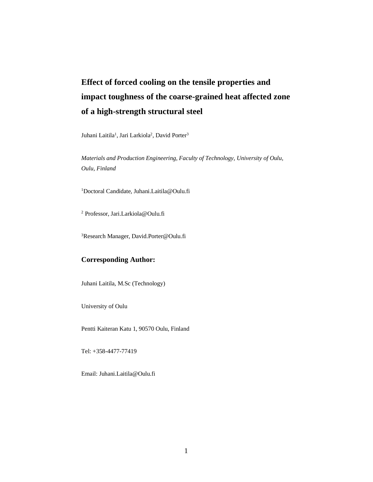# **Effect of forced cooling on the tensile properties and impact toughness of the coarse-grained heat affected zone of a high-strength structural steel**

Juhani Laitila<sup>1</sup>, Jari Larkiola<sup>2</sup>, David Porter<sup>3</sup>

*Materials and Production Engineering, Faculty of Technology, University of Oulu, Oulu, Finland*

<sup>1</sup>Doctoral Candidate, Juhani.Laitila@Oulu.fi

<sup>2</sup> Professor, Jari.Larkiola@Oulu.fi

<sup>3</sup>Research Manager, David.Porter@Oulu.fi

#### **Corresponding Author:**

Juhani Laitila, M.Sc (Technology)

University of Oulu

Pentti Kaiteran Katu 1, 90570 Oulu, Finland

Tel: +358-4477-77419

Email: Juhani.Laitila@Oulu.fi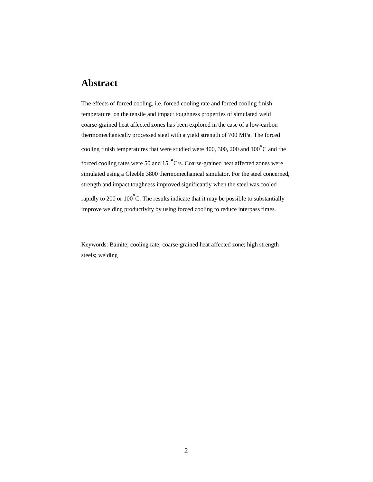### **Abstract**

The effects of forced cooling, i.e. forced cooling rate and forced cooling finish temperature, on the tensile and impact toughness properties of simulated weld coarse-grained heat affected zones has been explored in the case of a low-carbon thermomechanically processed steel with a yield strength of 700 MPa. The forced cooling finish temperatures that were studied were 400, 300, 200 and  $100^{\circ}$ C and the forced cooling rates were 50 and 15  $\degree$ C/s. Coarse-grained heat affected zones were simulated using a Gleeble 3800 thermomechanical simulator. For the steel concerned, strength and impact toughness improved significantly when the steel was cooled rapidly to 200 or 100 $\degree$ C. The results indicate that it may be possible to substantially improve welding productivity by using forced cooling to reduce interpass times.

Keywords: Bainite; cooling rate; coarse-grained heat affected zone; high strength steels; welding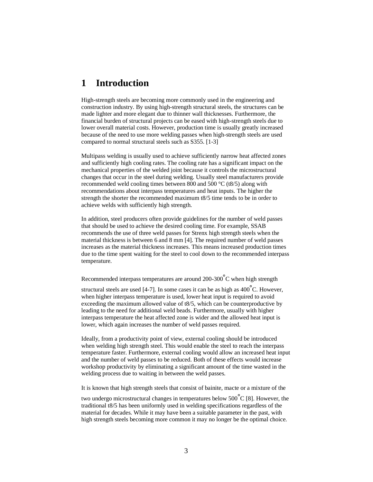#### **1 Introduction**

High-strength steels are becoming more commonly used in the engineering and construction industry. By using high-strength structural steels, the structures can be made lighter and more elegant due to thinner wall thicknesses. Furthermore, the financial burden of structural projects can be eased with high-strength steels due to lower overall material costs. However, production time is usually greatly increased because of the need to use more welding passes when high-strength steels are used compared to normal structural steels such as S355. [1-3]

Multipass welding is usually used to achieve sufficiently narrow heat affected zones and sufficiently high cooling rates. The cooling rate has a significant impact on the mechanical properties of the welded joint because it controls the microstructural changes that occur in the steel during welding. Usually steel manufacturers provide recommended weld cooling times between 800 and 500 °C (t8/5) along with recommendations about interpass temperatures and heat inputs. The higher the strength the shorter the recommended maximum t8/5 time tends to be in order to achieve welds with sufficiently high strength.

In addition, steel producers often provide guidelines for the number of weld passes that should be used to achieve the desired cooling time. For example, SSAB recommends the use of three weld passes for Strenx high strength steels when the material thickness is between 6 and 8 mm [4]. The required number of weld passes increases as the material thickness increases. This means increased production times due to the time spent waiting for the steel to cool down to the recommended interpass temperature.

Recommended interpass temperatures are around 200-300°C when high strength

structural steels are used [4-7]. In some cases it can be as high as  $400^{\circ}$ C. However, when higher interpass temperature is used, lower heat input is required to avoid exceeding the maximum allowed value of t8/5, which can be counterproductive by leading to the need for additional weld beads. Furthermore, usually with higher interpass temperature the heat affected zone is wider and the allowed heat input is lower, which again increases the number of weld passes required.

Ideally, from a productivity point of view, external cooling should be introduced when welding high strength steel. This would enable the steel to reach the interpass temperature faster. Furthermore, external cooling would allow an increased heat input and the number of weld passes to be reduced. Both of these effects would increase workshop productivity by eliminating a significant amount of the time wasted in the welding process due to waiting in between the weld passes.

It is known that high strength steels that consist of bainite, macte or a mixture of the

two undergo microstructural changes in temperatures below  $500^{\circ}$ C [8]. However, the traditional t8/5 has been uniformly used in welding specifications regardless of the material for decades. While it may have been a suitable parameter in the past, with high strength steels becoming more common it may no longer be the optimal choice.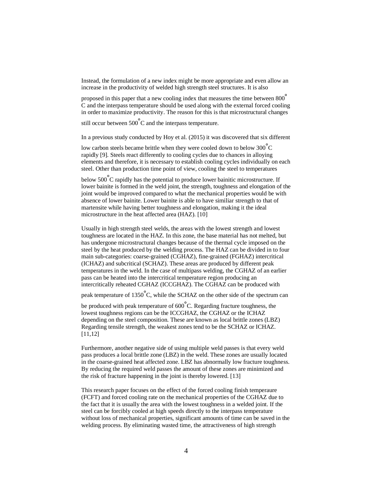Instead, the formulation of a new index might be more appropriate and even allow an increase in the productivity of welded high strength steel structures. It is also

proposed in this paper that a new cooling index that measures the time between 800° C and the interpass temperature should be used along with the external forced cooling in order to maximize productivity. The reason for this is that microstructural changes

still occur between  $500^{\circ}$ C and the interpass temperature.

In a previous study conducted by Hoy et al. (2015) it was discovered that six different

low carbon steels became brittle when they were cooled down to below 300<sup>∘</sup> C rapidly [9]. Steels react differently to cooling cycles due to chances in alloying elements and therefore, it is necessary to establish cooling cycles individually on each steel. Other than production time point of view, cooling the steel to temperatures

below 500<sup>∘</sup> C rapidly has the potential to produce lower bainitic microstructure. If lower bainite is formed in the weld joint, the strength, toughness and elongation of the joint would be improved compared to what the mechanical properties would be with absence of lower bainite. Lower bainite is able to have similiar strength to that of martensite while having better toughness and elongation, making it the ideal microstructure in the heat affected area (HAZ). [10]

Usually in high strength steel welds, the areas with the lowest strength and lowest toughness are located in the HAZ. In this zone, the base material has not melted, but has undergone microstructural changes because of the thermal cycle imposed on the steel by the heat produced by the welding process. The HAZ can be divided in to four main sub-categories: coarse-grained (CGHAZ), fine-grained (FGHAZ) intercritical (ICHAZ) and subcritical (SCHAZ). These areas are produced by different peak temperatures in the weld. In the case of multipass welding, the CGHAZ of an earlier pass can be heated into the intercritical temperature region producing an intercritically reheated CGHAZ (ICCGHAZ). The CGHAZ can be produced with

peak temperature of 1350°C, while the SCHAZ on the other side of the spectrum can

be produced with peak temperature of 600<sup>∘</sup> C. Regarding fracture toughness, the lowest toughness regions can be the ICCGHAZ, the CGHAZ or the ICHAZ depending on the steel composition. These are known as local brittle zones (LBZ) Regarding tensile strength, the weakest zones tend to be the SCHAZ or ICHAZ. [11,12]

Furthermore, another negative side of using multiple weld passes is that every weld pass produces a local brittle zone (LBZ) in the weld. These zones are usually located in the coarse-grained heat affected zone. LBZ has abnormally low fracture toughness. By reducing the required weld passes the amount of these zones are minimized and the risk of fracture happening in the joint is thereby lowered. [13]

This research paper focuses on the effect of the forced cooling finish temperaure (FCFT) and forced cooling rate on the mechanical properties of the CGHAZ due to the fact that it is usually the area with the lowest toughness in a welded joint. If the steel can be forcibly cooled at high speeds directly to the interpass temperature without loss of mechanical properties, significant amounts of time can be saved in the welding process. By eliminating wasted time, the attractiveness of high strength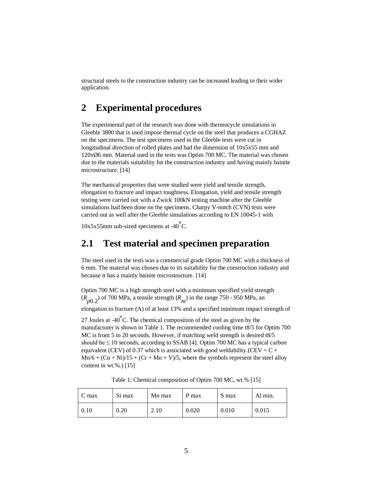structural steels to the construction industry can be increased leading to their wider application.

### **2 Experimental procedures**

The experimental part of the research was done with thermocycle simulations in Gleeble 3800 that is used impose thermal cycle on the steel that produces a CGHAZ on the specimens. The test specimens used in the Gleeble tests were cut in longitudinal direction of rolled plates and had the dimension of 10x5x55 mm and 120xØ6 mm. Material used in the tests was Optim 700 MC. The material was chosen due to the materials suitability for the construction industry and having mainly bainite microstructure. [14]

The mechanical properties that were studied were yield and tensile strength, elongation to fracture and impact toughness. Elongation, yield and tensile strength testing were carried out with a Zwick 100kN testing machine after the Gleeble simulations had been done on the specimens. Charpy V-notch (CVN) tests were carried out as well after the Gleeble simulations according to EN 10045-1 with

10x5x55mm sub-sized specimens at -40<sup>∘</sup> C.

#### **2.1 Test material and specimen preparation**

The steel used in the tests was a commercial grade Optim 700 MC with a thickness of 6 mm. The material was chosen due to its suitability for the construction industry and because it has a mainly bainite microstructure. [14]

Optim 700 MC is a high strength steel with a minimum specified yield strength  $(R_{p0.2})$  of 700 MPa, a tensile strength  $(R_m)$  in the range 750 - 950 MPa, an elongation to fracture (A) of at least 13% and a specified minimum impact strength of

27 Joules at -40<sup>∘</sup> C. The chemical composition of the steel as given by the manufacturer is shown in Table 1. The recommended cooling time t8/5 for Optim 700 MC is from 5 to 20 seconds. However, if matching weld strength is desired t8/5 should be  $\leq 10$  seconds, according to SSAB [4]. Optim 700 MC has a typical carbon equivalent (CEV) of 0.37 which is associated with good weldability.(CEV =  $C +$  $Mn/6 + (Cu + Ni)/15 + (Cr + Mo + V)/5$ , where the symbols represent the steel alloy content in wt.%.) [15]

 $C$  max  $\begin{array}{|l|c|c|c|c|c|} \hline \end{array}$  Si max  $\begin{array}{|l|c|c|c|c|c|c|c|} \hline \end{array}$  S max  $\begin{array}{|l|c|c|c|c|c|c|c|} \hline \end{array}$  Al min. 0.10 | 0.20 | 2.10 | 0.020 | 0.010 | 0.015

Table 1: Chemical composition of Optim 700 MC, wt.% [15]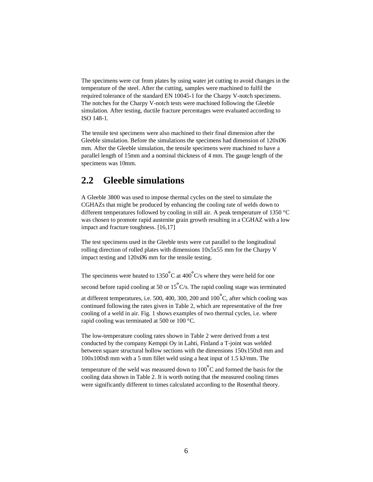The specimens were cut from plates by using water jet cutting to avoid changes in the temperature of the steel. After the cutting, samples were machined to fulfil the required tolerance of the standard EN 10045-1 for the Charpy V-notch specimens. The notches for the Charpy V-notch tests were machined following the Gleeble simulation. After testing, ductile fracture percentages were evaluated according to ISO 148-1.

The tensile test specimens were also machined to their final dimension after the Gleeble simulation. Before the simulations the specimens had dimension of  $120x\varnothing6$ mm. After the Gleeble simulation, the tensile specimens were machined to have a parallel length of 15mm and a nominal thickness of 4 mm. The gauge length of the specimens was 10mm.

#### **2.2 Gleeble simulations**

A Gleeble 3800 was used to impose thermal cycles on the steel to simulate the CGHAZs that might be produced by enhancing the cooling rate of welds down to different temperatures followed by cooling in still air. A peak temperature of 1350 °C was chosen to promote rapid austenite grain growth resulting in a CGHAZ with a low impact and fracture toughness. [16,17]

The test specimens used in the Gleeble tests were cut parallel to the longitudinal rolling direction of rolled plates with dimensions 10x5x55 mm for the Charpy V impact testing and  $120x\varnothing6$  mm for the tensile testing.

The specimens were heated to 1350°C at 400°C/s where they were held for one

second before rapid cooling at 50 or  $15^{\circ}$ C/s. The rapid cooling stage was terminated

at different temperatures, i.e. 500, 400, 300, 200 and 100°C, after which cooling was continued following the rates given in Table 2, which are representative of the free cooling of a weld in air. Fig. 1 shows examples of two thermal cycles, i.e. where rapid cooling was terminated at 500 or 100 °C.

The low-temperature cooling rates shown in Table 2 were derived from a test conducted by the company Kemppi Oy in Lahti, Finland a T-joint was welded between square structural hollow sections with the dimensions 150x150x8 mm and 100x100x8 mm with a 5 mm fillet weld using a heat input of 1.5 kJ/mm. The

temperature of the weld was measured down to 100 $\degree$ C and formed the basis for the cooling data shown in Table 2. It is worth noting that the measured cooling times were significantly different to times calculated according to the Rosenthal theory.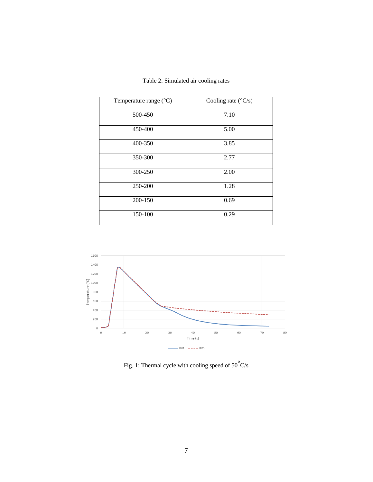| Temperature range (°C) | Cooling rate $(^{\circ}C/s)$ |
|------------------------|------------------------------|
| 500-450                | 7.10                         |
| 450-400                | 5.00                         |
| 400-350                | 3.85                         |
| 350-300                | 2.77                         |
| 300-250                | 2.00                         |
| 250-200                | 1.28                         |
| 200-150                | 0.69                         |
| 150-100                | 0.29                         |

Table 2: Simulated air cooling rates



Fig. 1: Thermal cycle with cooling speed of  $50^{\circ}$ C/s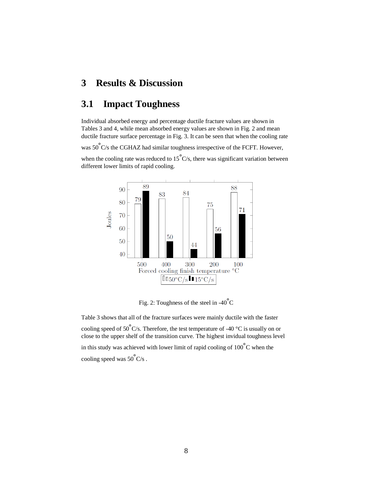### **3 Results & Discussion**

#### **3.1 Impact Toughness**

Individual absorbed energy and percentage ductile fracture values are shown in Tables 3 and 4, while mean absorbed energy values are shown in Fig. 2 and mean ductile fracture surface percentage in Fig. 3. It can be seen that when the cooling rate

was 50°C/s the CGHAZ had similar toughness irrespective of the FCFT. However,

when the cooling rate was reduced to  $15^{\circ}$ C/s, there was significant variation between different lower limits of rapid cooling.



Fig. 2: Toughness of the steel in -40 $^{\circ}$ C

Table 3 shows that all of the fracture surfaces were mainly ductile with the faster cooling speed of 50 $\degree$ C/s. Therefore, the test temperature of -40  $\degree$ C is usually on or close to the upper shelf of the transition curve. The highest invidual toughness level in this study was achieved with lower limit of rapid cooling of  $100^{\circ}$ C when the cooling speed was  $50^{\circ}$ C/s.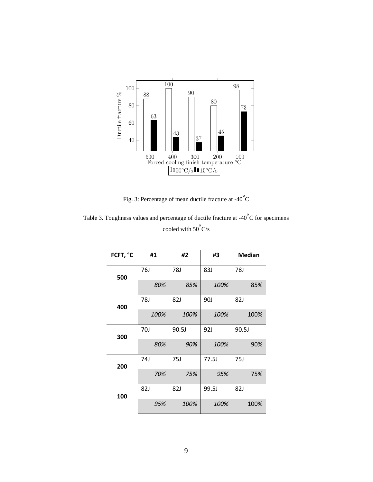

Fig. 3: Percentage of mean ductile fracture at -40 $\degree$ C

Table 3. Toughness values and percentage of ductile fracture at -40°C for specimens cooled with  $50^{\circ}$ C/s

| FCFT, °C | #1   | #2    | #3         | <b>Median</b> |  |
|----------|------|-------|------------|---------------|--|
| 500      | 76J  | 78J   | 83J        | 78J           |  |
|          | 80%  | 85%   | 100%       | 85%           |  |
| 400      | 78J  | 82J   | <b>90J</b> | 82J           |  |
|          | 100% | 100%  | 100%       | 100%          |  |
| 300      | 70J  | 90.5J | 92J        | 90.5J         |  |
|          | 80%  | 90%   | 100%       | 90%           |  |
| 200      | 74J  | 75J   | 77.5J      | 75J           |  |
|          | 70%  | 75%   | 95%        | 75%           |  |
| 100      | 82J  | 82J   | 99.5J      | 82J           |  |
|          | 95%  | 100%  | 100%       | 100%          |  |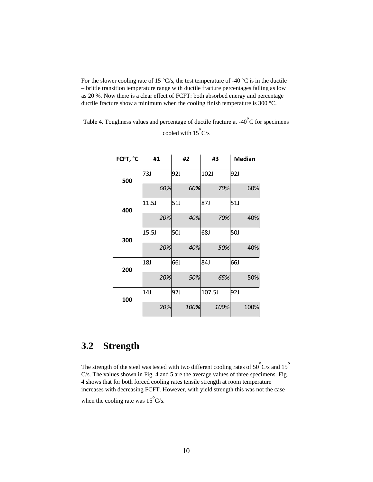For the slower cooling rate of 15  $\degree$ C/s, the test temperature of -40  $\degree$ C is in the ductile – brittle transition temperature range with ductile fracture percentages falling as low as 20 %. Now there is a clear effect of FCFT: both absorbed energy and percentage ductile fracture show a minimum when the cooling finish temperature is 300 °C.

| Table 4. Toughness values and percentage of ductile fracture at $-40^{\circ}$ C for specimens |
|-----------------------------------------------------------------------------------------------|
| cooled with $15^{\circ}$ C/s                                                                  |

| FCFT, °C | #1         |     | #2         |      | #3         |      | <b>Median</b> |      |
|----------|------------|-----|------------|------|------------|------|---------------|------|
| 500      | 73J        |     | 92J        |      | 102J       |      | 92J           |      |
|          |            | 60% |            | 60%  |            | 70%  |               | 60%  |
| 400      | 11.5J      |     | 51J        |      | 87J        |      | 51J           |      |
|          |            | 20% |            | 40%  |            | 70%  |               | 40%  |
| 300      | 15.5J      |     | <b>50J</b> |      | <b>68J</b> |      | <b>50J</b>    |      |
|          |            | 20% |            | 40%  |            | 50%  |               | 40%  |
| 200      | <b>18J</b> |     | 66J        |      | 84J        |      | <b>66J</b>    |      |
|          |            | 20% |            | 50%  |            | 65%  |               | 50%  |
| 100      | 14J        |     | 92J        |      | 107.5J     |      | 92J           |      |
|          |            | 20% |            | 100% |            | 100% |               | 100% |

## **3.2 Strength**

The strength of the steel was tested with two different cooling rates of  $50^{\circ}$ C/s and  $15^{\circ}$ C/s. The values shown in Fig. 4 and 5 are the average values of three specimens. Fig. 4 shows that for both forced cooling rates tensile strength at room temperature increases with decreasing FCFT. However, with yield strength this was not the case

when the cooling rate was  $15^{\circ}$ C/s.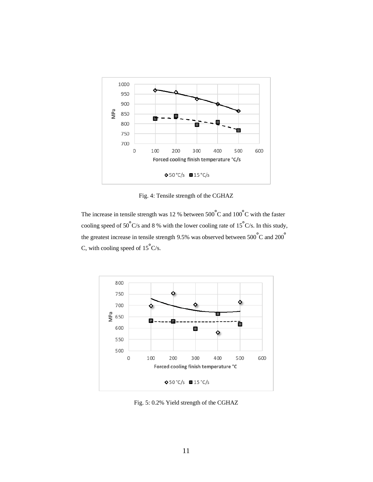

Fig. 4: Tensile strength of the CGHAZ

The increase in tensile strength was 12 % between  $500^{\circ}$ C and  $100^{\circ}$ C with the faster cooling speed of 50°C/s and 8 % with the lower cooling rate of 15°C/s. In this study, the greatest increase in tensile strength 9.5% was observed between  $500^{\circ}$ C and  $200^{\circ}$ C, with cooling speed of  $15^{\circ}$ C/s.



Fig. 5: 0.2% Yield strength of the CGHAZ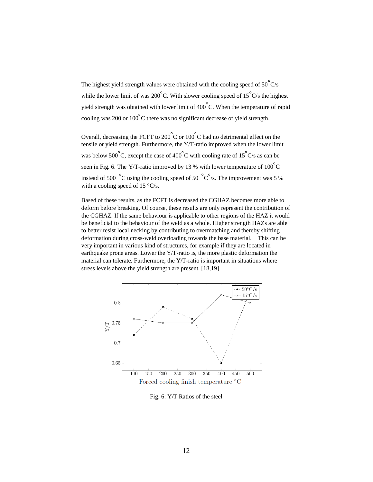The highest yield strength values were obtained with the cooling speed of  $50^{\circ}$ C/s while the lower limit of was 200 $\degree$ C. With slower cooling speed of 15 $\degree$ C/s the highest yield strength was obtained with lower limit of 400 $\degree$ C. When the temperature of rapid cooling was 200 or 100<sup>∘</sup> C there was no significant decrease of yield strength.

Overall, decreasing the FCFT to 200 $\degree$ C or 100 $\degree$ C had no detrimental effect on the tensile or yield strength. Furthermore, the Y/T-ratio improved when the lower limit was below 500°C, except the case of 400°C with cooling rate of 15°C/s as can be seen in Fig. 6. The Y/T-ratio improved by 13 % with lower temperature of  $100^{\circ}$ C instead of 500  $\degree$ C using the cooling speed of 50  $\degree$ C $\degree$ /s. The improvement was 5 % with a cooling speed of 15  $\degree$ C/s.

Based of these results, as the FCFT is decreased the CGHAZ becomes more able to deform before breaking. Of course, these results are only represent the contribution of the CGHAZ. If the same behaviour is applicable to other regions of the HAZ it would be beneficial to the behaviour of the weld as a whole. Higher strength HAZs are able to better resist local necking by contributing to overmatching and thereby shifting deformation during cross-weld overloading towards the base material. This can be very important in various kind of structures, for example if they are located in earthquake prone areas. Lower the Y/T-ratio is, the more plastic deformation the material can tolerate. Furthermore, the Y/T-ratio is important in situations where stress levels above the yield strength are present. [18,19]



Fig. 6: Y/T Ratios of the steel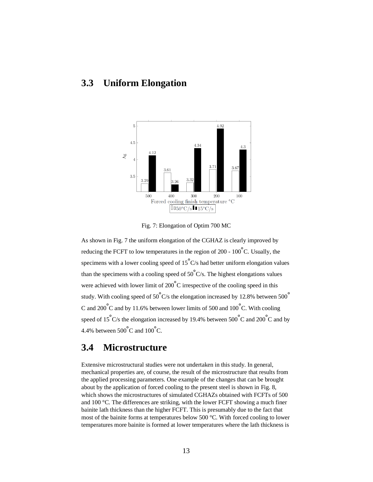### **3.3 Uniform Elongation**



Fig. 7: Elongation of Optim 700 MC

As shown in Fig. 7 the uniform elongation of the CGHAZ is clearly improved by reducing the FCFT to low temperatures in the region of 200 -  $100^{\circ}$ C. Usually, the specimens with a lower cooling speed of  $15^{\circ}$ C/s had better uniform elongation values than the specimens with a cooling speed of  $50^{\circ}$ C/s. The highest elongations values were achieved with lower limit of 200°C irrespective of the cooling speed in this study. With cooling speed of 50 $^{\circ}$ C/s the elongation increased by 12.8% between 500 $^{\circ}$ C and 200 $\degree$ C and by 11.6% between lower limits of 500 and 100 $\degree$ C. With cooling speed of 15°C/s the elongation increased by 19.4% between 500°C and 200°C and by 4.4% between  $500^{\circ}$ C and  $100^{\circ}$ C.

### **3.4 Microstructure**

Extensive microstructural studies were not undertaken in this study. In general, mechanical properties are, of course, the result of the microstructure that results from the applied processing parameters. One example of the changes that can be brought about by the application of forced cooling to the present steel is shown in Fig. 8, which shows the microstructures of simulated CGHAZs obtained with FCFTs of 500 and 100 °C. The differences are striking, with the lower FCFT showing a much finer bainite lath thickness than the higher FCFT. This is presumably due to the fact that most of the bainite forms at temperatures below 500 °C. With forced cooling to lower temperatures more bainite is formed at lower temperatures where the lath thickness is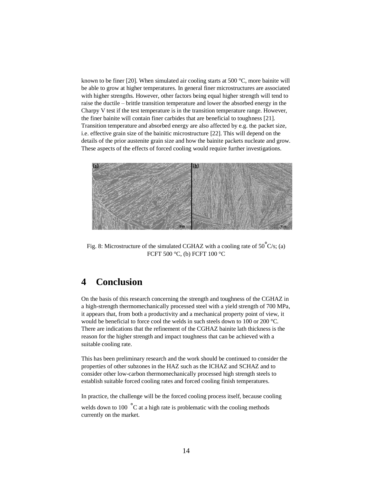known to be finer [20]. When simulated air cooling starts at 500  $^{\circ}$ C, more bainite will be able to grow at higher temperatures. In general finer microstructures are associated with higher strengths. However, other factors being equal higher strength will tend to raise the ductile – brittle transition temperature and lower the absorbed energy in the Charpy V test if the test temperature is in the transition temperature range. However, the finer bainite will contain finer carbides that are beneficial to toughness [21]. Transition temperature and absorbed energy are also affected by e.g. the packet size, i.e. effective grain size of the bainitic microstructure [22]. This will depend on the details of the prior austenite grain size and how the bainite packets nucleate and grow. These aspects of the effects of forced cooling would require further investigations.



Fig. 8: Microstructure of the simulated CGHAZ with a cooling rate of  $50^{\circ}$ C/s; (a) FCFT 500 °C, (b) FCFT 100 °C

#### **4 Conclusion**

On the basis of this research concerning the strength and toughness of the CGHAZ in a high-strength thermomechanically processed steel with a yield strength of 700 MPa, it appears that, from both a productivity and a mechanical property point of view, it would be beneficial to force cool the welds in such steels down to 100 or 200 °C. There are indications that the refinement of the CGHAZ bainite lath thickness is the reason for the higher strength and impact toughness that can be achieved with a suitable cooling rate.

This has been preliminary research and the work should be continued to consider the properties of other subzones in the HAZ such as the ICHAZ and SCHAZ and to consider other low-carbon thermomechanically processed high strength steels to establish suitable forced cooling rates and forced cooling finish temperatures.

In practice, the challenge will be the forced cooling process itself, because cooling welds down to 100  $\degree$ C at a high rate is problematic with the cooling methods currently on the market.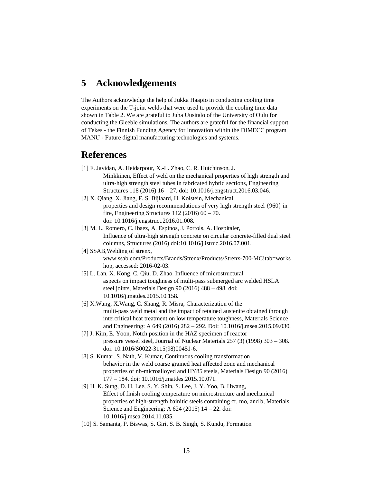#### **5 Acknowledgements**

The Authors acknowledge the help of Jukka Haapio in conducting cooling time experiments on the T-joint welds that were used to provide the cooling time data shown in Table 2. We are grateful to Juha Uusitalo of the University of Oulu for conducting the Gleeble simulations. The authors are grateful for the financial support of Tekes - the Finnish Funding Agency for Innovation within the DIMECC program MANU - Future digital manufacturing technologies and systems.

#### **References**

- [1] F. Javidan, A. Heidarpour, X.-L. Zhao, C. R. Hutchinson, J. Minkkinen, Effect of weld on the mechanical properties of high strength and ultra-high strength steel tubes in fabricated hybrid sections, Engineering Structures 118 (2016) 16 – 27. doi: 10.1016/j.engstruct.2016.03.046.
- [2] X. Qiang, X. Jiang, F. S. Bijlaard, H. Kolstein, Mechanical properties and design recommendations of very high strength steel {960} in fire, Engineering Structures  $112 (2016) 60 - 70$ . doi: 10.1016/j.engstruct.2016.01.008.
- [3] M. L. Romero, C. Ibaez, A. Espinos, J. Portols, A. Hospitaler, Influence of ultra-high strength concrete on circular concrete-filled dual steel columns, Structures (2016) doi:10.1016/j.istruc.2016.07.001.
- [4] SSAB, Welding of strenx, www.ssab.com/Products/Brands/Strenx/Products/Strenx-700-MC!tab=works hop, accessed: 2016-02-03.
- [5] L. Lan, X. Kong, C. Qiu, D. Zhao, Influence of microstructural aspects on impact toughness of multi-pass submerged arc welded HSLA steel joints, Materials Design 90 (2016) 488 – 498. doi: 10.1016/j.matdes.2015.10.158.
- [6] X.Wang, X.Wang, C. Shang, R. Misra, Characterization of the multi-pass weld metal and the impact of retained austenite obtained through intercritical heat treatment on low temperature toughness, Materials Science and Engineering: A 649 (2016) 282 – 292. Doi: 10.1016/j.msea.2015.09.030.
- [7] J. Kim, E. Yoon, Notch position in the HAZ specimen of reactor pressure vessel steel, Journal of Nuclear Materials 257 (3) (1998) 303 – 308. doi: 10.1016/S0022-3115(98)00451-6.
- [8] S. Kumar, S. Nath, V. Kumar, Continuous cooling transformation behavior in the weld coarse grained heat affected zone and mechanical properties of nb-microalloyed and HY85 steels, Materials Design 90 (2016) 177 – 184. doi: 10.1016/j.matdes.2015.10.071.
- [9] H. K. Sung, D. H. Lee, S. Y. Shin, S. Lee, J. Y. Yoo, B. Hwang, Effect of finish cooling temperature on microstructure and mechanical properties of high-strength bainitic steels containing cr, mo, and b, Materials Science and Engineering: A  $624$  (2015)  $14 - 22$ . doi: 10.1016/j.msea.2014.11.035.
- [10] S. Samanta, P. Biswas, S. Giri, S. B. Singh, S. Kundu, Formation